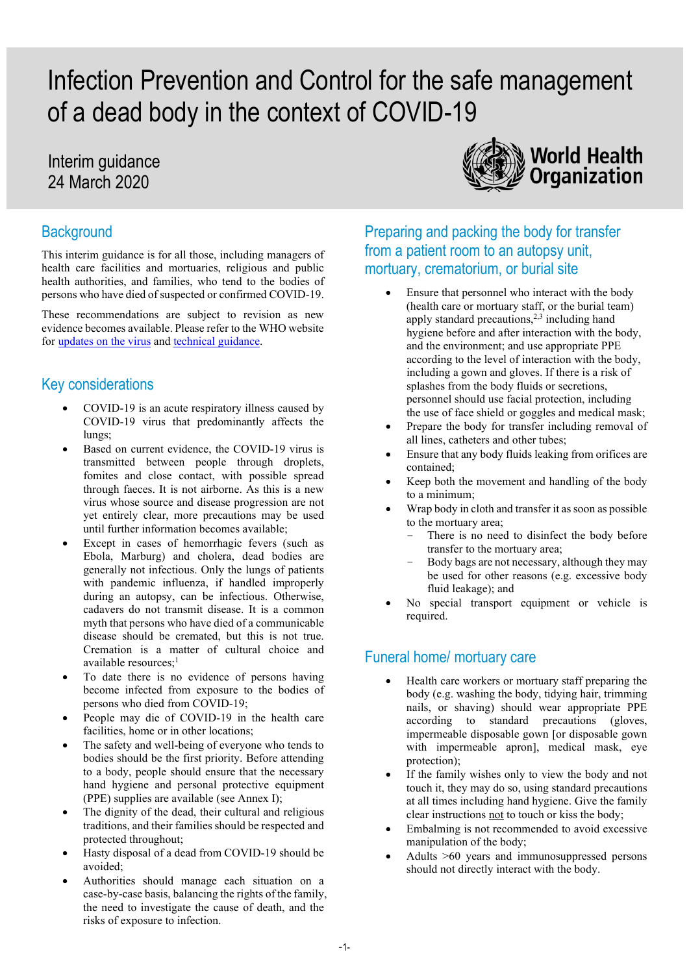# Infection Prevention and Control for the safe management of a dead body in the context of COVID-19

## Interim guidance 24 March 2020

#### **Background**

This interim guidance is for all those, including managers of health care facilities and mortuaries, religious and public health authorities, and families, who tend to the bodies of persons who have died of suspected or confirmed COVID-19.

These recommendations are subject to revision as new evidence becomes available. Please refer to the WHO website for [updates on the virus](https://www.who.int/emergencies/diseases/novel-coronavirus-2019) and [technical guidance.](https://www.who.int/emergencies/diseases/novel-coronavirus-2019/technical-guidance)

#### Key considerations

- COVID-19 is an acute respiratory illness caused by COVID-19 virus that predominantly affects the lungs;
- Based on current evidence, the COVID-19 virus is transmitted between people through droplets, fomites and close contact, with possible spread through faeces. It is not airborne. As this is a new virus whose source and disease progression are not yet entirely clear, more precautions may be used until further information becomes available;
- Except in cases of hemorrhagic fevers (such as Ebola, Marburg) and cholera, dead bodies are generally not infectious. Only the lungs of patients with pandemic influenza, if handled improperly during an autopsy, can be infectious. Otherwise, cadavers do not transmit disease. It is a common myth that persons who have died of a communicable disease should be cremated, but this is not true. Cremation is a matter of cultural choice and available resources;<sup>1</sup>
- To date there is no evidence of persons having become infected from exposure to the bodies of persons who died from COVID-19;
- People may die of COVID-19 in the health care facilities, home or in other locations;
- The safety and well-being of everyone who tends to bodies should be the first priority. Before attending to a body, people should ensure that the necessary hand hygiene and personal protective equipment (PPE) supplies are available (see Annex I);
- The dignity of the dead, their cultural and religious traditions, and their families should be respected and protected throughout;
- Hasty disposal of a dead from COVID-19 should be avoided;
- Authorities should manage each situation on a case-by-case basis, balancing the rights of the family, the need to investigate the cause of death, and the risks of exposure to infection.



Preparing and packing the body for transfer from a patient room to an autopsy unit, mortuary, crematorium, or burial site

- Ensure that personnel who interact with the body (health care or mortuary staff, or the burial team) apply standard precautions,<sup>2,3</sup> including hand hygiene before and after interaction with the body, and the environment; and use appropriate PPE according to the level of interaction with the body, including a gown and gloves. If there is a risk of splashes from the body fluids or secretions, personnel should use facial protection, including the use of face shield or goggles and medical mask;
- Prepare the body for transfer including removal of all lines, catheters and other tubes;
- Ensure that any body fluids leaking from orifices are contained;
- Keep both the movement and handling of the body to a minimum;
- Wrap body in cloth and transfer it as soon as possible to the mortuary area;
	- There is no need to disinfect the body before transfer to the mortuary area;
	- Body bags are not necessary, although they may be used for other reasons (e.g. excessive body fluid leakage); and
- No special transport equipment or vehicle is required.

#### Funeral home/ mortuary care

- Health care workers or mortuary staff preparing the body (e.g. washing the body, tidying hair, trimming nails, or shaving) should wear appropriate PPE according to standard precautions (gloves, impermeable disposable gown [or disposable gown with impermeable apron], medical mask, eye protection);
- If the family wishes only to view the body and not touch it, they may do so, using standard precautions at all times including hand hygiene. Give the family clear instructions not to touch or kiss the body;
- Embalming is not recommended to avoid excessive manipulation of the body;
- Adults >60 years and immunosuppressed persons should not directly interact with the body.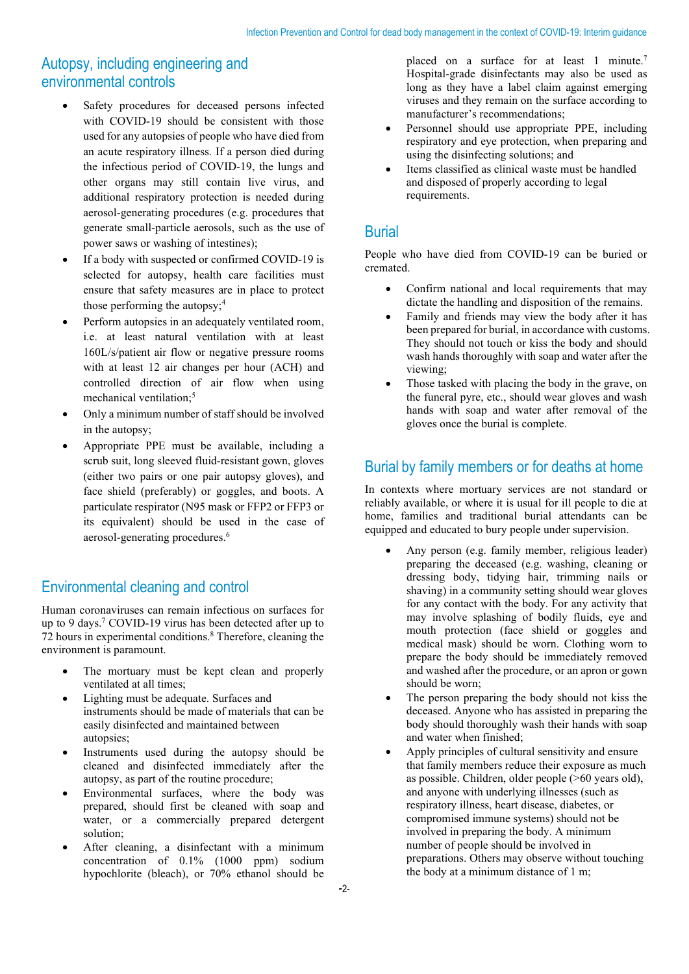### Autopsy, including engineering and environmental controls

- Safety procedures for deceased persons infected with COVID-19 should be consistent with those used for any autopsies of people who have died from an acute respiratory illness. If a person died during the infectious period of COVID-19, the lungs and other organs may still contain live virus, and additional respiratory protection is needed during aerosol-generating procedures (e.g. procedures that generate small-particle aerosols, such as the use of power saws or washing of intestines);
- If a body with suspected or confirmed COVID-19 is selected for autopsy, health care facilities must ensure that safety measures are in place to protect those performing the autopsy;<sup>4</sup>
- Perform autopsies in an adequately ventilated room, i.e. at least natural ventilation with at least 160L/s/patient air flow or negative pressure rooms with at least 12 air changes per hour (ACH) and controlled direction of air flow when using mechanical ventilation:<sup>5</sup>
- Only a minimum number of staff should be involved in the autopsy;
- Appropriate PPE must be available, including a scrub suit, long sleeved fluid-resistant gown, gloves (either two pairs or one pair autopsy gloves), and face shield (preferably) or goggles, and boots. A particulate respirator (N95 mask or FFP2 or FFP3 or its equivalent) should be used in the case of aerosol-generating procedures.6

#### Environmental cleaning and control

Human coronaviruses can remain infectious on surfaces for up to 9 days.7 COVID-19 virus has been detected after up to 72 hours in experimental conditions.<sup>8</sup> Therefore, cleaning the environment is paramount.

- The mortuary must be kept clean and properly ventilated at all times;
- Lighting must be adequate. Surfaces and instruments should be made of materials that can be easily disinfected and maintained between autopsies;
- Instruments used during the autopsy should be cleaned and disinfected immediately after the autopsy, as part of the routine procedure;
- Environmental surfaces, where the body was prepared, should first be cleaned with soap and water, or a commercially prepared detergent solution;
- After cleaning, a disinfectant with a minimum concentration of 0.1% (1000 ppm) sodium hypochlorite (bleach), or 70% ethanol should be

placed on a surface for at least 1 minute.<sup>7</sup> Hospital-grade disinfectants may also be used as long as they have a label claim against emerging viruses and they remain on the surface according to manufacturer's recommendations;

- Personnel should use appropriate PPE, including respiratory and eye protection, when preparing and using the disinfecting solutions; and
- Items classified as clinical waste must be handled and disposed of properly according to legal requirements.

#### Burial

People who have died from COVID-19 can be buried or cremated.

- Confirm national and local requirements that may dictate the handling and disposition of the remains.
- Family and friends may view the body after it has been prepared for burial, in accordance with customs. They should not touch or kiss the body and should wash hands thoroughly with soap and water after the viewing;
- Those tasked with placing the body in the grave, on the funeral pyre, etc., should wear gloves and wash hands with soap and water after removal of the gloves once the burial is complete.

#### Burial by family members or for deaths at home

In contexts where mortuary services are not standard or reliably available, or where it is usual for ill people to die at home, families and traditional burial attendants can be equipped and educated to bury people under supervision.

- Any person (e.g. family member, religious leader) preparing the deceased (e.g. washing, cleaning or dressing body, tidying hair, trimming nails or shaving) in a community setting should wear gloves for any contact with the body. For any activity that may involve splashing of bodily fluids, eye and mouth protection (face shield or goggles and medical mask) should be worn. Clothing worn to prepare the body should be immediately removed and washed after the procedure, or an apron or gown should be worn;
- The person preparing the body should not kiss the deceased. Anyone who has assisted in preparing the body should thoroughly wash their hands with soap and water when finished;
- Apply principles of cultural sensitivity and ensure that family members reduce their exposure as much as possible. Children, older people (>60 years old), and anyone with underlying illnesses (such as respiratory illness, heart disease, diabetes, or compromised immune systems) should not be involved in preparing the body. A minimum number of people should be involved in preparations. Others may observe without touching the body at a minimum distance of 1 m;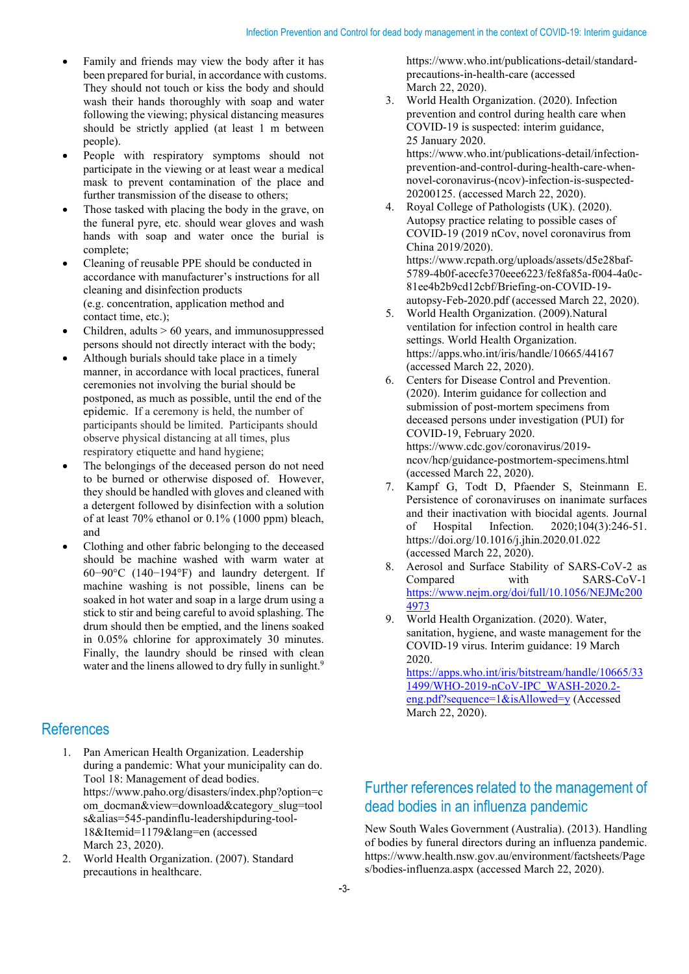- Family and friends may view the body after it has been prepared for burial, in accordance with customs. They should not touch or kiss the body and should wash their hands thoroughly with soap and water following the viewing; physical distancing measures should be strictly applied (at least 1 m between people).
- People with respiratory symptoms should not participate in the viewing or at least wear a medical mask to prevent contamination of the place and further transmission of the disease to others;
- Those tasked with placing the body in the grave, on the funeral pyre, etc. should wear gloves and wash hands with soap and water once the burial is complete;
- Cleaning of reusable PPE should be conducted in accordance with manufacturer's instructions for all cleaning and disinfection products (e.g. concentration, application method and contact time, etc.);
- Children, adults  $> 60$  years, and immunosuppressed persons should not directly interact with the body;
- Although burials should take place in a timely manner, in accordance with local practices, funeral ceremonies not involving the burial should be postponed, as much as possible, until the end of the epidemic. If a ceremony is held, the number of participants should be limited. Participants should observe physical distancing at all times, plus respiratory etiquette and hand hygiene;
- The belongings of the deceased person do not need to be burned or otherwise disposed of. However, they should be handled with gloves and cleaned with a detergent followed by disinfection with a solution of at least 70% ethanol or 0.1% (1000 ppm) bleach, and
- Clothing and other fabric belonging to the deceased should be machine washed with warm water at 60−90°C (140−194°F) and laundry detergent. If machine washing is not possible, linens can be soaked in hot water and soap in a large drum using a stick to stir and being careful to avoid splashing. The drum should then be emptied, and the linens soaked in 0.05% chlorine for approximately 30 minutes. Finally, the laundry should be rinsed with clean water and the linens allowed to dry fully in sunlight.<sup>9</sup>

#### **References**

- 1. Pan American Health Organization. Leadership during a pandemic: What your municipality can do. Tool 18: Management of dead bodies. https://www.paho.org/disasters/index.php?option=c om\_docman&view=download&category\_slug=tool s&alias=545-pandinflu-leadershipduring-tool-18&Itemid=1179&lang=en (accessed March 23, 2020).
- 2. World Health Organization. (2007). Standard precautions in healthcare.

precautions-in-health-care (accessed March 22, 2020).

https://www.who.int/publications-detail/standard-

- 3. World Health Organization. (2020). Infection prevention and control during health care when COVID-19 is suspected: interim guidance, 25 January 2020. https://www.who.int/publications-detail/infectionprevention-and-control-during-health-care-whennovel-coronavirus-(ncov)-infection-is-suspected-20200125. (accessed March 22, 2020).
- 4. Royal College of Pathologists (UK). (2020). Autopsy practice relating to possible cases of COVID-19 (2019 nCov, novel coronavirus from China 2019/2020). https://www.rcpath.org/uploads/assets/d5e28baf-5789-4b0f-acecfe370eee6223/fe8fa85a-f004-4a0c-81ee4b2b9cd12cbf/Briefing-on-COVID-19 autopsy-Feb-2020.pdf (accessed March 22, 2020).
- 5. World Health Organization. (2009).Natural ventilation for infection control in health care settings. World Health Organization. https://apps.who.int/iris/handle/10665/44167 (accessed March 22, 2020).
- 6. Centers for Disease Control and Prevention. (2020). Interim guidance for collection and submission of post-mortem specimens from deceased persons under investigation (PUI) for COVID-19, February 2020. https://www.cdc.gov/coronavirus/2019 ncov/hcp/guidance-postmortem-specimens.html (accessed March 22, 2020).
- 7. Kampf G, Todt D, Pfaender S, Steinmann E. Persistence of coronaviruses on inanimate surfaces and their inactivation with biocidal agents. Journal of Hospital Infection. 2020;104(3):246-51. https://doi.org/10.1016/j.jhin.2020.01.022 (accessed March 22, 2020).
- 8. Aerosol and Surface Stability of SARS-CoV-2 as Compared with SARS-CoV-1 [https://www.nejm.org/doi/full/10.1056/NEJMc200](https://www.nejm.org/doi/full/10.1056/NEJMc2004973) [4973](https://www.nejm.org/doi/full/10.1056/NEJMc2004973)
- 9. World Health Organization. (2020). Water, sanitation, hygiene, and waste management for the COVID-19 virus. Interim guidance: 19 March 2020. [https://apps.who.int/iris/bitstream/handle/10665/33](https://apps.who.int/iris/bitstream/handle/10665/331499/WHO-2019-nCoV-IPC_WASH-2020.2-eng.pdf?sequence=1&isAllowed=y) [1499/WHO-2019-nCoV-IPC\\_WASH-2020.2-](https://apps.who.int/iris/bitstream/handle/10665/331499/WHO-2019-nCoV-IPC_WASH-2020.2-eng.pdf?sequence=1&isAllowed=y)

[eng.pdf?sequence=1&isAllowed=y](https://apps.who.int/iris/bitstream/handle/10665/331499/WHO-2019-nCoV-IPC_WASH-2020.2-eng.pdf?sequence=1&isAllowed=y) (Accessed March 22, 2020).

#### Further references related to the management of dead bodies in an influenza pandemic

New South Wales Government (Australia). (2013). Handling of bodies by funeral directors during an influenza pandemic. https://www.health.nsw.gov.au/environment/factsheets/Page s/bodies-influenza.aspx (accessed March 22, 2020).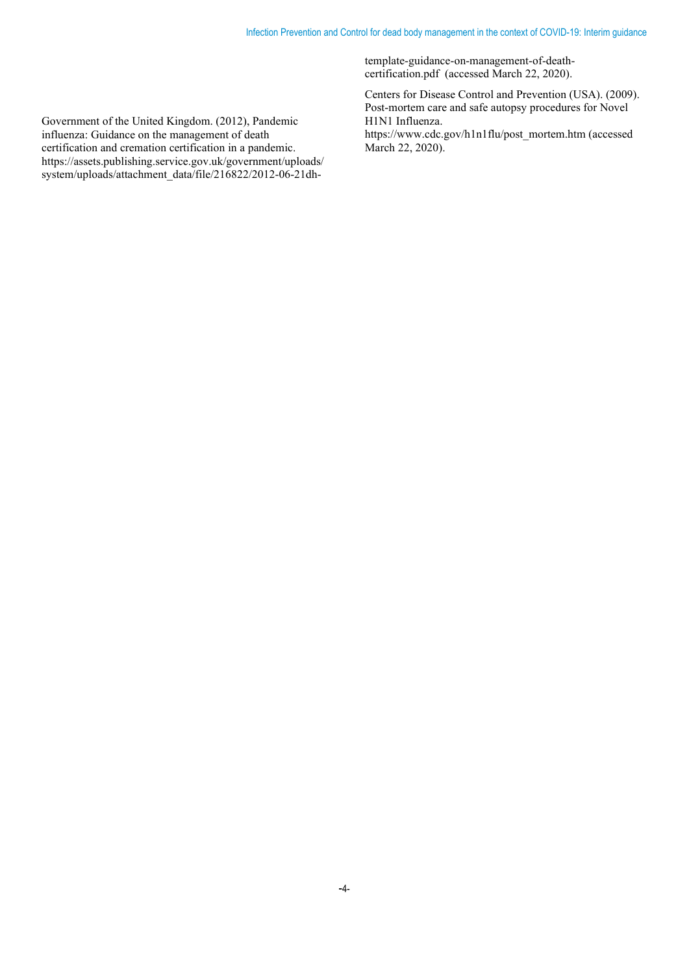template-guidance-on-management-of-deathcertification.pdf (accessed March 22, 2020).

Centers for Disease Control and Prevention (USA). (2009). Post-mortem care and safe autopsy procedures for Novel H1N1 Influenza. https://www.cdc.gov/h1n1flu/post\_mortem.htm (accessed March 22, 2020).

Government of the United Kingdom. (2012), Pandemic influenza: Guidance on the management of death certification and cremation certification in a pandemic. https://assets.publishing.service.gov.uk/government/uploads/ system/uploads/attachment\_data/file/216822/2012-06-21dh-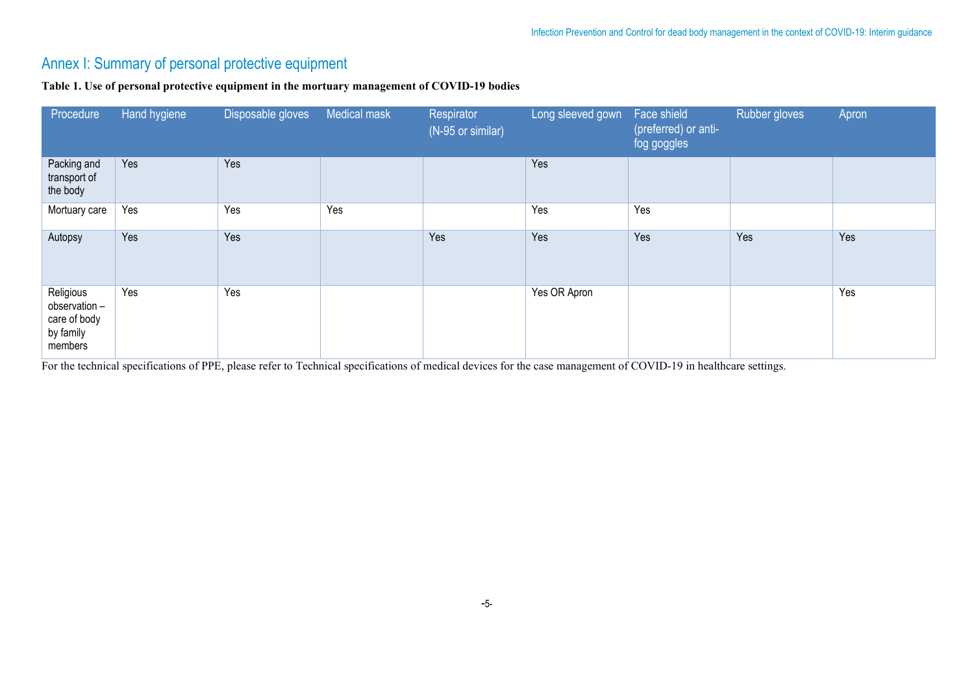## Annex I: Summary of personal protective equipment

#### **Table 1. Use of personal protective equipment in the mortuary management of COVID-19 bodies**

| Procedure                                                          | Hand hygiene | Disposable gloves | Medical mask | Respirator<br>(N-95 or similar) | Long sleeved gown | Face shield<br>(preferred) or anti-<br>fog goggles | Rubber gloves | Apron |
|--------------------------------------------------------------------|--------------|-------------------|--------------|---------------------------------|-------------------|----------------------------------------------------|---------------|-------|
| Packing and<br>transport of<br>the body                            | Yes          | Yes               |              |                                 | Yes               |                                                    |               |       |
| Mortuary care                                                      | Yes          | Yes               | Yes          |                                 | Yes               | Yes                                                |               |       |
| Autopsy                                                            | Yes          | Yes               |              | Yes                             | Yes               | Yes                                                | Yes           | Yes   |
| Religious<br>observation -<br>care of body<br>by family<br>members | Yes          | Yes               |              |                                 | Yes OR Apron      |                                                    |               | Yes   |

For the technical specifications of PPE, please refer to Technical specifications of medical devices for the case management of COVID-19 in healthcare settings.